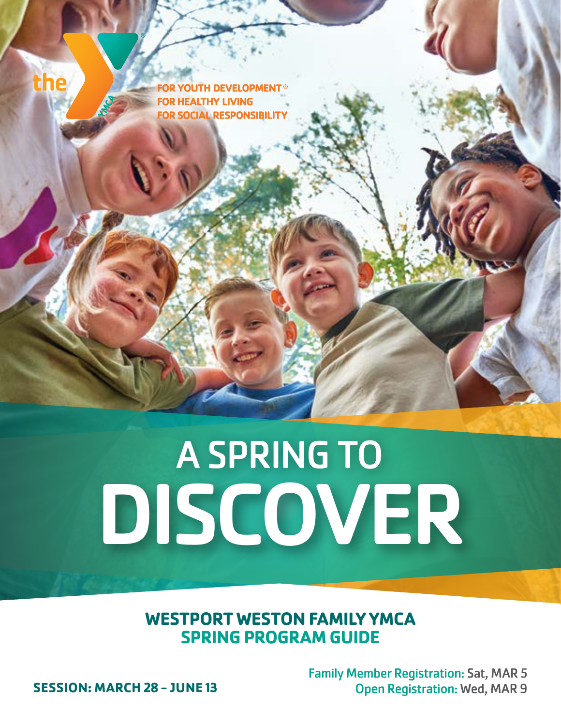# A SPRING TO DISCOVER

**WESTPORT WESTON FAMILY YMCA SPRING PROGRAM GUIDE**

Family Member Registration: Sat, MAR 5 **SESSION: MARCH 28 - JUNE 13** Open Registration: Wed, MAR 9

the

YOUTH DEVELOPMENT ® **FOR HEALTHY LIVING FOR SOCIAL RESPONSIBILITY**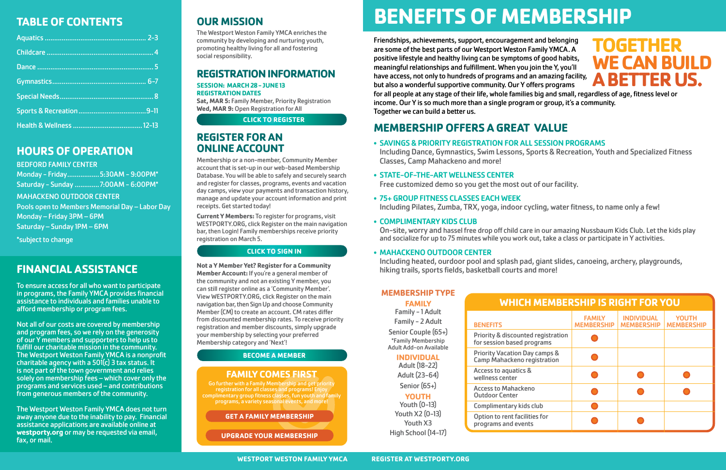# **OUR MISSION**

The Westport Weston Family YMCA enriches the community by developing and nurturing youth, promoting healthy living for all and fostering social responsibility.

# **REGISTRATION INFORMATION**

### **SESSION: MARCH 28 - JUNE 13 REGISTRATION DATES**

**Sat, MAR 5:** Family Member, Priority Registration **Wed, MAR 9:** Open Registration for All

# **REGISTER FOR AN ONLINE ACCOUNT**

Membership or a non-member, Community Member account that is set-up in our web-based Membership Database. You will be able to safely and securely search and register for classes, programs, events and vacation day camps, view your payments and transaction history, manage and update your account information and print receipts. Get started today!

**Current Y Members:** To register for programs, visit WESTPORTY.ORG, click Register on the main navigation bar, then Login! Family memberships receive priority registration on March 5.

**Not a Y Member Yet? Register for a Community Member Account:** If you're a general member of the community and not an existing Y member, you can still register online as a 'Community Member'. View WESTPORTY.ORG, click Register on the main navigation bar, then Sign Up and choose Community Member (CM) to create an account. CM rates differ from discounted membership rates. To receive priority registration and member discounts, simply upgrade your membership by selecting your preferred Membership category and 'Next'!

# **MEMBERSHIP OFFERS A GREAT VALUE**

Including Dance, Gymnastics, Swim Lessons, Sports & Recreation, Youth and Specialized Fitness

- SAVINGS & PRIORITY REGISTRATION FOR ALL SESSION PROGRAMS Classes, Camp Mahackeno and more!
- STATE-OF-THE-ART WELLNESS CENTER Free customized demo so you get the most out of our facility.
- 75+ GROUP FITNESS CLASSES EACH WEEK Including Pilates, Zumba, TRX, yoga, indoor cycling, water fitness, to name only a few!

## • COMPLIMENTARY KIDS CLUB

On-site, worry and hassel free drop off child care in our amazing Nussbaum Kids Club. Let the kids play and socialize for up to 75 minutes while you work out, take a class or participate in Y activities.

## • MAHACKENO OUTDOOR CENTER

Including heated, ourdoor pool and splash pad, giant slides, canoeing, archery, playgrounds, hiking trails, sports fields, basketball courts and more!

# **FINANCIAL ASSISTANCE**

To ensure access for all who want to participate in programs, the Family YMCA provides financial assistance to individuals and families unable to afford membership or program fees.

Not all of our costs are covered by membership and program fees, so we rely on the generosity of our Y members and supporters to help us to fulfill our charitable mission in the community. The Westport Weston Family YMCA is a nonprofit charitable agency with a  $501(c)$  3 tax status. It is not part of the town government and relies solely on membership fees – which cover only the programs and services used – and contributions from generous members of the community.

The Westport Weston Family YMCA does not turn away anyone due to the inability to pay. Financial assistance applications are available online at **westporty.org** or may be requested via email, fax, or mail.

# **TABLE OF CONTENTS**

# **HOURS OF OPERATION**

### BEDFORD FAMILY CENTER

Monday - Friday.................5:30AM - 9:00PM\* Saturday - Sunday .............7:00AM - 6:00PM\* MAHACKENO OUTDOOR CENTER Pools open to Members Memorial Day – Labor Day Monday – Friday 3PM – 6PM Saturday – Sunday 1PM – 6PM

\*subject to change

**CLICK TO LEARN MORE**

# **FAMILY COMES FIRST**

Go further with a Family Membership and get priority registration for all classes and programs! Enjoy complimentary group fitness classes, fun youth and family programs, a variety seasonal events, and more!

# **BENEFITS OF MEMBERSHIP**

Friendships, achievements, support, encouragement and belonging are some of the best parts of our Westport Weston Family YMCA. A positive lifestyle and healthy living can be symptoms of good habits, meaningful relationships and fulfillment. When you join the Y, you'll have access, not only to hundreds of programs and an amazing facility, but also a wonderful supportive community. Our Y offers programs for all people at any stage of their life, whole families big and small, regardless of age, fitness level or income. Our Y is so much more than a single program or group, it's a community. Together we can build a better us. **TOGETHER** 

**WE CAN BUILD A BETTER US.**

| <b>WHICH MEMBERSHIP IS RIGHT FOR YOU</b>                                       |                                    |                                        |                                   |
|--------------------------------------------------------------------------------|------------------------------------|----------------------------------------|-----------------------------------|
| <b>BENEFITS</b>                                                                | <b>FAMILY</b><br><b>MEMBERSHIP</b> | <b>INDIVIDUAL</b><br><b>MEMBERSHIP</b> | <b>YOUTH</b><br><b>MEMBERSHIP</b> |
| <b>Priority &amp; discounted registration</b><br>for session based programs    |                                    |                                        |                                   |
| <b>Priority Vacation Day camps &amp;</b><br><b>Camp Mahackeno registration</b> |                                    |                                        |                                   |
| Access to aquatics &<br>wellness center                                        |                                    |                                        |                                   |
| <b>Access to Mahackeno</b><br><b>Outdoor Center</b>                            |                                    |                                        |                                   |
| <b>Complimentary kids club</b>                                                 |                                    |                                        |                                   |
| Option to rent facilities for<br>programs and events                           |                                    |                                        |                                   |

# **MEMBERSHIP TYPE**

**FAMILY**

Family - 1 Adult Family - 2 Adult

Senior Couple (65+) \*Family Membership Adult Add-on Available

## **INDIVIDUAL**

Adult (18-22) Adult (23-64) Senior (65+)

## **YOUTH**

Youth (0-13) Youth X2 (0-13) Youth X3 High School (14-17)

# **WHICH**

#### **BENEFITS**

Priority & discounted for session based pro **Priority Vacation Day Camp Mahackeno reg** Access to aquatics & wellness center Access to Mahackeno Outdoor Center Complimentary kids o Option to rent facilition

## **[CLICK TO REGISTER](https://ops1.operations.daxko.com/Online/3082/ProgramsV2/Home.mvc)**

## **[CLICK TO SIGN IN](https://ops1.operations.daxko.com/online/3082/Security/login.mvc/find_account)**

## **[BECOME A MEMBER](https://westporty.org/membership/)**

#### **[GET A FAMILY MEMBERSHIP](https://westporty.org/membership/rates-and-payments/)**

**[UPGRADE YOUR MEMBERSHIP](https://westporty.org/membership-change-request/)**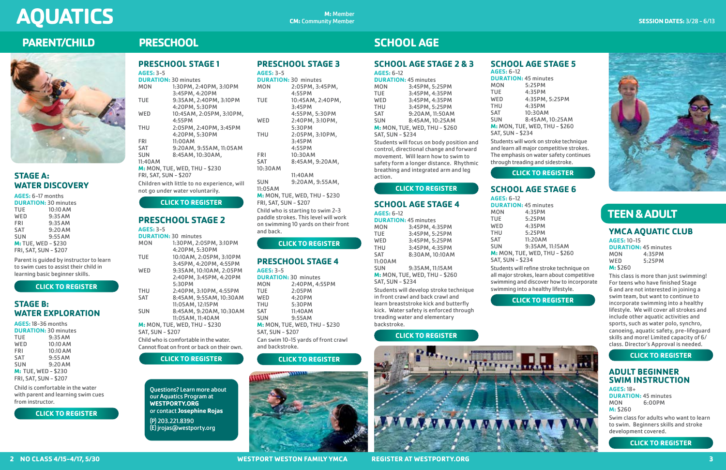# **TEEN & ADULT**

# **SCHOOL AGE STAGE 2 & 3**

**AGES:** 6-12

|                         | <b>DURATION: 45 minutes</b>   |
|-------------------------|-------------------------------|
| <b>MON</b>              | 3:45PM, 5:25PM                |
| TUE                     | 3:45PM, 4:35PM                |
| WED                     | 3:45PM, 4:35PM                |
| THU                     | 3:45PM, 5:25PM                |
| <b>SAT</b>              | 9:20AM, 11:50AM               |
| <b>SUN</b>              | 8:45AM, 10:25AM               |
|                         | M: MON, TUE, WED, THU - \$260 |
| <b>SAT, SUN - \$234</b> |                               |
|                         |                               |

Students will focus on body position and control, directional change and forward movement. Will learn how to swim to safety form a longer distance. Rhythmic breathing and integrated arm and leg action.

## **SCHOOL AGE STAGE 4 AGES:** 6-12

| <b>DURATION: 45 minutes</b> |                                                                             |
|-----------------------------|-----------------------------------------------------------------------------|
| <b>MON</b>                  | 3:45PM, 4:35PM                                                              |
| TUE                         | 3:45PM, 5:25PM                                                              |
| WED                         | 3:45PM, 5:25PM                                                              |
| THU                         | 3:45PM, 4:35PM                                                              |
| SAT                         | 8:30AM, 10:10AM                                                             |
| 11:00AM                     |                                                                             |
| SUN                         | 9:35AM, 11:15AM                                                             |
|                             | M: MON, TUE, WED, THU - \$260                                               |
| <b>SAT, SUN - \$234</b>     |                                                                             |
|                             | Students will develop stroke technique<br>in front crawl and back crawl and |
|                             |                                                                             |

**DURATION: 45 minutes<br>MON 4:35PM** MON 4:35PM<br>TUE 5:25PM 5:25PM WED 4:35PM THU 5:25PM SAT 11:20AM SUN 9:35AM, 11:15AM **M:** MON, TUE, WED, THU - \$260

in front crawl and back crawl and learn breaststroke kick and butterfly kick. Water safety is enforced through treading water and elementary backstroke.

# **SCHOOL AGE STAGE 5**

**AGES:** 6-12

**DURATION:** 45 minutes MON 5:25PM TUE 4:35PM<br>
WED 4:35PM 4:35PM, 5:25PM THU 4:35PM SAT 10:30AM SUN 8:45AM, 10:25AM **M:** MON, TUE, WED, THU - \$260

SAT, SUN - \$234

Students will work on stroke technique and learn all major competitive strokes. The emphasis on water safety continues through treading and sidestroke.

# **SCHOOL AGE STAGE 6**

**AGES:** 6-12

SAT, SUN - \$234

Students will refine stroke technique on all major strokes, learn about competitive swimming and discover how to incorporate swimming into a healthy lifestyle.

#### **M:** Member **CM:** Community Member

# **SCHOOL AGE**

## **2 NO CLASS 4/15-4/17, 5/30 WESTPORT WESTON FAMILY YMCA REGISTER AT WESTPORTY.ORG 3**

# **YMCA AQUATIC CLUB**

**AGES:** 10-15 **DURATION: 45 minutes<br>MON 4:35PM** MON 4:35PM<br>
WED 5:25PM 5:25PM **M:** \$260

**AGES:** 3-5 **DUI**<br>MO

> This class is more than just swimming! For teens who have finished Stage 6 and are not interested in joining a swim team, but want to continue to incorporate swimming into a healthy lifestyle. We will cover all strokes and include other aquatic activities and sports, such as water polo, synchro, canoeing, aquatic safety, pre-lifeguard skills and more! Limited capacity of 6/ class. Director's Approval is needed.

## **ADULT BEGINNER SWIM INSTRUCTION AGES:** 18+

**DURATION:** 45 minutes  $6:00PM$ **M:** \$260

Swim class for adults who want to learn to swim. Beginners skills and stroke development covered.

Questions? Learn more about our Aquatics Program at **WESTPORTY.ORG** or contact **Josephine Rojas**

(P) 203.221.8390 (E) jrojas@westporty.org

# **STAGE A: WATER DISCOVERY**

**AGES:** 6-17 months

| <b>DURATION: 30 minutes</b> |           |  |
|-----------------------------|-----------|--|
| <b>TUE</b>                  | 10:10 AM  |  |
| WED                         | 9:35AM    |  |
| <b>FRI</b>                  | 9:35AM    |  |
| <b>SAT</b>                  | 9:20AM    |  |
| <b>SUN</b>                  | $9:55$ AM |  |
| <b>M: TUE, WED - \$230</b>  |           |  |
| FRI, SAT, SUN - \$207       |           |  |

Parent is guided by instructor to learn to swim cues to assist their child in learning basic beginner skills.

# **STAGE B: WATER EXPLORATION**

| <b>AGES: 18-36 months</b>   |           |  |
|-----------------------------|-----------|--|
| <b>DURATION: 30 minutes</b> |           |  |
| TUE                         | 9:35AM    |  |
| WED                         | 10:10 AM  |  |
| <b>FRI</b>                  | 10:10 AM  |  |
| <b>SAT</b>                  | $9:55$ AM |  |
| <b>SUN</b>                  | $9:20$ AM |  |
| M: TUE, WED - \$230         |           |  |
| FRI, SAT, SUN - \$207       |           |  |
|                             |           |  |

Child is comfortable in the water with parent and learning swim cues from instructor.

#### **PRESCHOOL STAGE 1 AGES:** 3-5

| AULSX 3-3                   |                                             |
|-----------------------------|---------------------------------------------|
| <b>DURATION: 30 minutes</b> |                                             |
| <b>MON</b>                  | 1:30PM, 2:40PM, 3:10PM                      |
|                             | 3:45PM, 4:20PM                              |
| <b>TUE</b>                  | 9:35AM, 2:40PM, 3:10PM                      |
|                             | 4:20PM, 5:30PM                              |
| WED                         | 10:45AM, 2:05PM, 3:10PM,                    |
|                             | $4:55$ PM                                   |
| THU                         | 2:05PM, 2:40PM, 3:45PM                      |
|                             | 4:20PM, 5:30PM                              |
| <b>FRI</b>                  | 11:00AM                                     |
| <b>SAT</b>                  | 9:20AM, 9:55AM, 11:05AM                     |
| <b>SUN</b>                  | 8:45AM, 10:30AM,                            |
| 11:40AM                     |                                             |
|                             | M: MON, TUE, WED, THU - \$230               |
| FRI, SAT, SUN - \$207       |                                             |
|                             | Children with little to no experience, will |
|                             | not go under water voluntarily.             |

# **PRESCHOOL STAGE 2**

**PARENT/CHILD**

# **PRESCHOOL STAGE 3**

| <b>DURATION: 30 minutes</b>                 |                         |  |
|---------------------------------------------|-------------------------|--|
| <b>MON</b>                                  | 1:30PM, 2:05PM, 3:10PM  |  |
|                                             | 4:20PM, 5:30PM          |  |
| <b>TUE</b>                                  | 10:10AM, 2:05PM, 3:10PM |  |
|                                             | 3:45PM, 4:20PM, 4:55PM  |  |
| WED                                         | 9:35AM, 10:10AM, 2:05PM |  |
|                                             | 2:40PM, 3:45PM, 4:20PM  |  |
|                                             | 5:30PM                  |  |
| <b>THU</b>                                  | 2:40PM, 3:10PM, 4:55PM  |  |
| <b>SAT</b>                                  | 8:45AM, 9:55AM, 10:30AM |  |
|                                             | 11:05AM, 12:15PM        |  |
| <b>SUN</b>                                  | 8:45AM, 9:20AM, 10:30AM |  |
|                                             | 11:05AM, 11:40AM        |  |
| M: MON, TUE, WED, THU - \$230               |                         |  |
| <b>SAT, SUN - \$207</b>                     |                         |  |
| Child who is comfortable in the water.      |                         |  |
| Cannot float on front or back on their own. |                         |  |
| <b>CLICK TO REGISTER</b>                    |                         |  |

**AGES:** 3-5 **DURATION:** 30 minutes MON 2:05PM, 3:45PM, 4:55PM TUE 10:45AM, 2:40PM, 3:45PM 4:55PM, 5:30PM WED 2:40PM, 3:10PM, 5:30PM THU 2:05PM, 3:10PM, 3:45PM 4:55PM FRI 10:30AM<br>
SAT 8:45AM 8:45AM, 9:20AM, 10:30AM 11:40AM SUN 9:20AM, 9:55AM, 11:05AM **M:** MON, TUE, WED, THU - \$230 FRI, SAT, SUN - \$207 Child who is starting to swim 2-3 paddle strokes. This level will work on swimming 10 yards on their front and back.

# **PRESCHOOL STAGE 4**

**AGES:** 3-5 **DURATION: 30 minutes<br>MON 2:40PM, 4:** 2:40PM, 4:55PM TUE 2:05PM WED 4:20PM<br>THU 5:30PM 5:30PM SAT 11:40AM SUN 9:55AM **M:** MON, TUE, WED, THU - \$230 SAT, SUN - \$207 Can swim 10-15 yards of front crawl and backstroke.

# **PRESCHOOL**



# **AQUATICS**

### **[CLICK TO REGISTER](https://ops1.operations.daxko.com/Online/3082/ProgramsV2/Search.mvc?program_id=TMP82727)**

### **[CLICK TO REGISTER](https://ops1.operations.daxko.com/Online/3082/ProgramsV2/Search.mvc?program_id=TMP77416)**

**[CLICK TO REGISTER](https://ops1.operations.daxko.com/Online/3082/ProgramsV2/Search.mvc?program_id=TMP81690)**

**[CLICK TO REGISTER](https://ops1.operations.daxko.com/Online/3082/ProgramsV2/Search.mvc?program_id=TMP82753)**

# **[CLICK TO REGISTER](https://ops1.operations.daxko.com/Online/3082/ProgramsV2/Search.mvc?program_id=TMP82742)**



# **[CLICK TO REGISTER](https://ops1.operations.daxko.com/Online/3082/ProgramsV2/Search.mvc?program_id=TMP82739)**





# **[CLICK TO REGISTER](https://ops1.operations.daxko.com/Online/3082/ProgramsV2/Search.mvc?program_id=TMP77452)**

**[CLICK TO REGISTER](https://ops1.operations.daxko.com/Online/3082/ProgramsV2/Search.mvc?program_id=TMP77456)**



**[CLICK TO REGISTER](https://ops1.operations.daxko.com/Online/3082/ProgramsV2/Search.mvc?program_id=TMP105767)**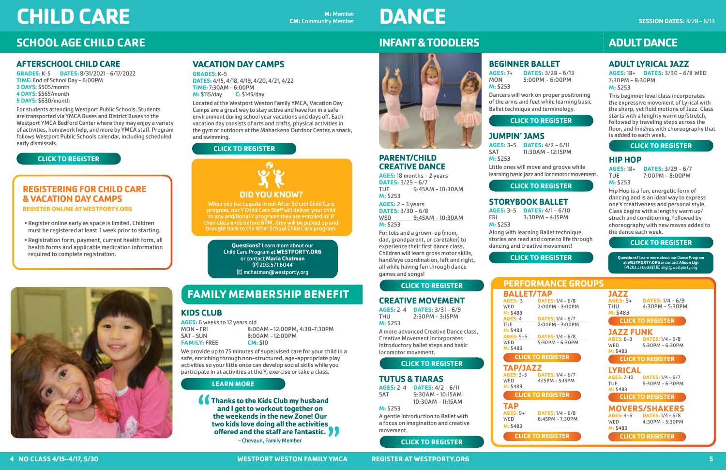# **ADULT LYRICAL JAZZ**

**AGES:** 18+ **DATES:** 3/30 - 6/8 WED 7:30PM - 8:30PM **M:** \$253

**AGES:** 18+ **DATES:** 3/29 - 6/7  $7:00PM - 8:00PM$ 

This beginner level class incorporates the expressive movement of Lyrical with the sharp, yet fluid motions of Jazz. Class starts with a lenghty warm up/stretch, followed by traveling steps across the floor, and finishes with choreography that is added to each week.

## **HIP HOP**

**M:** \$253

Hip Hop is a fun, energetic form of dancing and is an ideal way to express one's creativeness and personal style. Class begins with a lengthy warm up/ strech and conditioning, followed by choreography with new moves added to the dance each week.

# **PARENT/CHILD CREATIVE DANCE**

**AGES:** 18 months - 2 years **DATES:** 3/29 - 6/7<br>TUE 9:45A  $9:45AM - 10:30AM$ **M:** \$253

**AGES:** 2 - 3 years **DATES:** 3/30 - 6/8 WED 9:45AM - 10:30AM **M:** \$253

For tots and a grown-up (mom, dad, grandparent, or caretaker) to experience their first dance class. Children will learn gross motor skills, hand/eye coordination, left and right, all while having fun through dance games and songs!

> **AGES:** 3 **DATES:** 1/4 - 6/8 2:00PM - 3:00PM

**AGES:** 4 **DATES:** 1/4 - 6/7  $2:00PM - 3:00PM$ 

# **CREATIVE MOVEMENT**

**AGES:** 5-6 **DATES:** 1/4 - 6/8 5:30PM - 6:30PM

**AGES:** 2-4 **DATES:** 3/31 - 6/9  $2:30PM - 3:15PM$ **M:** \$253

**BALLET/TAP**<br>AGES: 3 DATES **M:** \$483<br>**AGES:** 4 **M: \$483<br>AGES: 5-6 M:** \$483

**AGES:** 3-5 **DATES:** 1/4 - 6/7 4:15PM - 5:15PM

**M:** \$483 **TAP**<br>AGES: 9+

**AGES:** 9+ **DATES:** 1/4 - 6/8  $6:45PM - 7:30PM$  **AGES:** 9+ **DATES:** 1/4 - 6/9 4:30PM - 5:30PM

A more advanced Creative Dance class, Creative Movement incorporates introductory ballet steps and basic locomotor movement.

## **TUTUS & TIARAS**

**DATES:**  $1/4 - 6/7$ TUE 5:30PM - 6:30PM

**AGES:** 2-4 **DATES:** 4/2 - 6/11 9:30AM - 10:15AM 10:30AM - 11:15AM

**MOVERS/SHAKERS**<br>AGES: 4-6 DATES: 1/4 - 6/8 **AGES:** 4-6 **DATES:** 1/4 - 6/8 4:30PM - 5:30PM **M:** \$483

#### **M:** \$253

A gentle introduction to Ballet with a focus on imagination and creative movement.

## **BEGINNER BALLET**

**AGES:** 7+ **DATES:** 3/28 - 6/13  $5:00PM - 6:00PM$ **M:** \$253

**AGES:** 6 weeks to 12 years old MON - FRI 8:00AM - 12:00PM, 4:30-7:30PM 8:00AM - 12:00PM<br>CM: \$10 **FAMILY: FREE** 

Dancers will work on proper positioning of the arms and feet while learning basic Ballet technique and terminology.

**JUMPIN' JAMS**

**AGES:** 3-5 **DATES:** 4/2 - 6/11 SAT 11:30AM - 12:15PM

**M:** \$253

Little ones will move and groove while learning basic jazz and locomotor movement.

# **STORYBOOK BALLET**

**AGES:** 3-5 **DATES:** 4/1 - 6/10 FRI 3:30PM - 4:15PM

**M:** \$253

Along with learning Ballet technique, stories are read and come to life through dancing and creative movement!



# **INFANT & TODDLERS**



**Questions?** Learn more about our Dance Program at **WESTPORTY.ORG** or contact **Alison Ligi** (P) 203.571.6039 | (E) aligi@westporty.org

# $\overline{\mathbf{o}}$ **DID YOU KNOW?**

# **ADULT DANCE**

# **PERFORMANCE GROUPS**

**TAP/JAZZ**

**K** Thanks to the Kids Club my husband **and I get to workout together on the weekends in the new Zone! Our two kids love doing all the activities offered and the staff are fantastic.**

**M:** \$483

**JAZZ M:** \$483

# **JAZZ FUNK**

**AGES:** 6-9 **DATES:** 1/4 - 6/8 5:30PM - 6:30PM **M:** \$483

**LYRICAL**

**M:** \$483

# **AFTERSCHOOL CHILD CARE**

**GRADES:** K-5 **DATES:** 8/31/2021 - 6/17/2022 **TIME:** End of School Day - 6:00PM **3 DAYS:** \$505/month **4 DAYS:** \$565/month **5 DAYS:** \$630/month

For students attending Westport Public Schools. Students are transported via YMCA Buses and District Buses to the Westport YMCA Bedford Center where they may enjoy a variety of activities, homework help, and more by YMCA staff. Program follows Westport Public Schools calendar, including scheduled early dismissals.

# **KIDS CLUB**

We provide up to 75 minutes of supervised care for your child in a safe, enriching through non-structured, age-appropriate play activities so your little once can develop social skills while you participate in at activities at the Y, exercise or take a class.

# **REGISTERING FOR CHILD CARE & VACATION DAY CAMPS**

**REGISTER ONLINE AT WESTPORTY.ORG**

- Register online early as space is limited. Children must be registered at least 1 week prior to starting.
- Registration form, payment, current health form, all health forms and applicable medication information required to complete registration.

# **FAMILY MEMBERSHIP BENEFIT**

When you participate in our After School Child Care program, our Y Child Care Staff will deliver your child to any additional Y programs they are enrolled in! If their class ends before 6PM, they will be picked up and brought back to the After School Child Care program.

# **VACATION DAY CAMPS**

**GRADES:** K-5 **DATES:** 4/15, 4/18, 4/19, 4/20, 4/21, 4/22 **TIME:** 7:30AM - 6:00PM **M:** \$115/day **C:** \$145/day

Located at the Westport Weston Family YMCA, Vacation Day Camps are a great way to stay active and have fun in a safe environment during school year vacations and days off. Each vacation day consists of arts and crafts, physical activities in the gym or outdoors at the Mahackeno Outdoor Center, a snack, and swimming.

# **SCHOOL AGE CHILD CARE**

# **CHILD CARE**

- Chevaun, Family Member

**Questions?** Learn more about our Child Care Program at **WESTPORTY.ORG** or contact **Maria Chatman** (P) 203.571.6044 (E) mchatman@westporty.org



**M:** Member

**CM:** Community Member

**[CLICK TO REGISTER](https://operations.daxko.com/Online/3082/ProgramsV2/Search.mvc?program_id=CC21386908&)**

# **[CLICK TO REGISTER](https://ops1.operations.daxko.com/Online/3082/ProgramsV2/Search.mvc?program_id=TMP16521)**



**[CLICK TO REGISTER](https://ops1.operations.daxko.com/Online/3082/ProgramsV2/Search.mvc?program_id=TMP16521)**

**[CLICK TO REGISTER](https://ops1.operations.daxko.com/Online/3082/ProgramsV2/OfferingDetails.mvc?program_id=TMP16675&offering_id=SES2859086)**

**[CLICK TO REGISTER](https://ops1.operations.daxko.com/Online/3082/ProgramsV2/OfferingDetails.mvc?program_id=TMP80491&offering_id=SES2859088)**

## **[CLICK TO REGISTER](https://ops1.operations.daxko.com/Online/3082/ProgramsV2/OfferingDetails.mvc?program_id=TMP16521&offering_id=SES2859508)**

**[CLICK TO REGISTER](https://ops1.operations.daxko.com/Online/3082/ProgramsV2/OfferingDetails.mvc?program_id=TMP16645&offering_id=SES2859089)**

## **[CLICK TO REGISTER](https://ops1.operations.daxko.com/Online/3082/ProgramsV2/OfferingDetails.mvc?program_id=TMP16675&offering_id=SES2859085)**

**[CLICK TO REGISTER](https://ops1.operations.daxko.com/Online/3082/ProgramsV2/Search.mvc?program_id=TMP16521)**

**[CLICK TO REGISTER](https://ops1.operations.daxko.com/Online/3082/ProgramsV2/OfferingDetails.mvc?offering_id=SES2833570&program_id=TMP16645)**

**[CLICK TO REGISTER](https://ops1.operations.daxko.com/Online/3082/ProgramsV2/OfferingDetails.mvc?program_id=TMP16645&offering_id=SES2833589)**

### **[CLICK TO REGISTER](https://ops1.operations.daxko.com/Online/3082/ProgramsV2/OfferingDetails.mvc?program_id=TMP16675&offering_id=SES2833593)**

#### **[CLICK TO REGISTER](https://ops1.operations.daxko.com/Online/3082/ProgramsV2/OfferingDetails.mvc?program_id=TMP16675&offering_id=SES2833582)**

# **[CLICK TO REGISTER](https://ops1.operations.daxko.com/Online/3082/ProgramsV2/OfferingDetails.mvc?program_id=TMP16521&offering_id=SES2833573)**

# **[CLICK TO REGISTER](https://ops1.operations.daxko.com/Online/3082/ProgramsV2/OfferingDetails.mvc?program_id=TMP16675&offering_id=SES2833578)**

## **[CLICK TO REGISTER](https://ops1.operations.daxko.com/Online/3082/ProgramsV2/Search.mvc?category_ids=CAT2575980)**

# **[LEARN MORE](https://westporty.org/y-kids-club/)**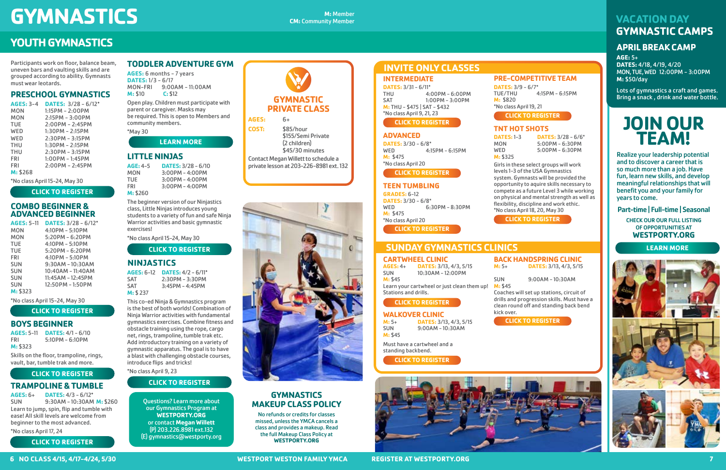## **INTERMEDIATE**

**DATES:** 3/31 - 6/11\*<br>THU 4: 4:00PM - 6:00PM SAT 1:00PM - 3:00PM **M:** THU - \$475 | SAT - \$432 \*No class April 9, 21, 23

# **ADVANCED**

**DATES:** 3/30 - 6/8\* 4:15PM - 6:15PM **M:** \$475 \*No class April 20

## **TEEN TUMBLING**

Participants work on floor, balance beam, uneven bars and vaulting skills and are grouped according to ability. Gymnasts must wear leotards.

# **PRESCHOOL GYMNASTICS**

| <b>AGES: 3-4</b> | <b>DATES:</b> $3/28 - 6/12^*$ |
|------------------|-------------------------------|
| <b>MON</b>       | $1:15PM - 2:00PM$             |
| <b>MON</b>       | $2:15PM - 3:00PM$             |
| <b>TUE</b>       | $2:00PM - 2:45PM$             |
| WED              | $1:30PM - 2:15PM$             |
| WED              | 2:30PM - 3:15PM               |
| <b>THU</b>       | $1:30PM - 2:15PM$             |
| <b>THU</b>       | $2:30PM - 3:15PM$             |
| <b>FRI</b>       | $1:00PM - 1:45PM$             |
| <b>FRI</b>       | $2:00PM - 2:45PM$             |
| M: \$268         |                               |

\*No class April 15-24, May 30

# **COMBO BEGINNER & ADVANCED BEGINNER**

**AGE:** 4-5 **DATES:** 3/28 - 6/10<br>MON 3:00PM - 4:00PM MON 3:00PM - 4:00PM<br>TUE 3:00PM - 4:00PM TUE 3:00PM – 4:00PM<br>FRI 3:00PM – 4:00PM  $3:00$ PM - 4:00PM **M:** \$260

| <b>AGES: 5-11</b> | <b>DATES: <math>3/28 - 6/12^*</math></b> |
|-------------------|------------------------------------------|
| MON               | $4:10PM - 5:10PM$                        |
| MON               | $5:20PM - 6:20PM$                        |
| <b>TUE</b>        | $4:10PM - 5:10PM$                        |
| <b>TUE</b>        | $5:20PM - 6:20PM$                        |
| FRI               | $4:10PM - 5:10PM$                        |
| <b>SUN</b>        | $9:30AM - 10:30AM$                       |
| <b>SUN</b>        | $10:40AM - 11:40AM$                      |
| <b>SUN</b>        | 11:45AM - 12:45PM                        |
| <b>SUN</b>        | 12:50PM - 1:50PM                         |
| M: \$323          |                                          |

\*No class April 15-24, May 30

# **BOYS BEGINNER**

**AGES:** 5-11 **DATES:** 4/1 - 6/10 FRI 5:10PM - 6:10PM **M:** \$323

Skills on the floor, trampoline, rings, vault, bar, tumble trak and more.

# **TRAMPOLINE & TUMBLE**

**AGES:** 6+ **DATES:** 4/3 - 6/12\* SUN 9:30AM - 10:30AM **M:** \$260 Learn to jump, spin, flip and tumble with ease! All skill levels are welcome from beginner to the most advanced.

\*No class April 17, 24

# **TODDLER ADVENTURE GYM**

**AGES:** 6 months - 7 years **DATES:** 1/3 - 6/17 MON-FRI 9:00AM - 11:00AM **M:** \$10 **C:** \$12

Open play. Children must participate with parent or caregiver. Masks may be required. This is open to Members and community members.

\*May 30

**DATES:** 3/9 - 6/7\*<br>TUE/THU **M:** \$820 \*No class April 19, 21

**DATES:** 1-3 **DATES:** 3/28 - 6/6\* MON 5:00PM - 6:30PM<br>WED 5:00PM - 6:30PM 5:00PM - 6:30PM

# **LITTLE NINJAS**

The beginner version of our Ninjastics class, Little Ninjas introduces young students to a variety of fun and safe Ninja Warrior activities and basic gymnastic exercises!

\*No class April 15-24, May 30

**M:** 5+ **DATES:** 3/13, 4/3, 5/15<br>SUN 9:00AM – 10:30AM **M:** \$45

9:00AM - 10:30AM

# **NINJASTICS**

**AGES:** 6-12 **DATES:** 4/2 - 6/11\* 2:30PM - 3:30PM SAT 3:45PM - 4:45PM **M:** \$ 237

This co-ed Ninja & Gymnastics program is the best of both worlds! Combination of Ninja Warrior activities with fundamental gymnastics exercises. Combine fitness and obstacle training using the rope, cargo net, rings, trampoline, tumble trak etc. Add introductory training on a variety of gymnastic apparatus. The goal is to have a blast with challenging obstacle courses, introduce flips and tricks! \*No class April 9, 23

# **GYMNASTICS CALCOMORPHICIPS CALCOMORPHICIPS CALCOMORPHICIPS**

**GRADES:** 6-12 **DATES:** 3/30 - 6/8\* WED 6:30PM - 8:30PM **M:** \$475 \*No class April 20 **[CLICK TO REGISTER](https://ops1.operations.daxko.com/Online/3082/ProgramsV2/OfferingDetails.mvc?program_id=TMP16555&offering_id=SES2858558)**

# **YOUTH GYMNASTICS**

# **6 NO CLASS 4/15, 4/17-4/24, 5/30 WESTPORT WESTON FAMILY YMCA REGISTER AT WESTPORTY.ORG 7**



**COST:** \$85/hour \$155/Semi Private (2 children) \$45/30 minutes

Contact Megan Willett to schedule a private lesson at 203-226-8981 ext. 132



Questions? Learn more about our Gymnastics Program at **WESTPORTY.ORG** or contact **Megan Willett** (P) 203.226.8981 ext.132 (E) gymnastics@westporty.org

# **GYMNASTICS MAKEUP CLASS POLICY**

No refunds or credits for classes missed, unless the YMCA cancels a class and provides a makeup. Read the full Makeup Class Policy at **WESTPORTY.ORG**

# **PRE-COMPETITIVE TEAM**

# **TNT HOT SHOTS**

**M:** \$325

Girls in these select groups will work levels 1-3 of the USA Gymnastics system. Gymnasts will be provided the opportunity to aquire skills necessary to compete as a future Level 3 while working on physical and mental strength as well as flexibility, discipline and work ethic. \*No class April 18, 20, May 30

# **CARTWHEEL CLINIC**

**AGES:** 4+ **DATES:** 3/13, 4/3, 5/15 SUN 10:30AM - 12:00PM **M:** \$45

# **SESSION DATES:** 3/28 - 6/13 **VACATION DAY [GYMNASTIC CAMPS](https://ops1.operations.daxko.com/Online/3082/ProgramsV2/Search.mvc?keywords=&program_id=TMP103290&expanded=categories%2Clocations)**

Learn your cartwheel or just clean them up! Stations and drills.

#### **BACK HANDSPRING CLINIC M:** 5+ **DATES:** 3/13, 4/3, 5/15

SUN 9:00AM - 10:30AM

**M:** \$45

Coaches will set up stations, circuit of drills and progression skills. Must have a clean round off and standing back bend

kick over.

4:15PM - 6:15PM

# **INVITE ONLY CLASSES**

# **SUNDAY GYMNASTICS CLINICS**

# **APRIL BREAK CAMP**

**AGE:** 5+ **DATES:** 4/18, 4/19, 4/20 MON, TUE, WED 12:00PM - 3:00PM **M:** \$50/day

Lots of gymnastics a craft and games. Bring a snack , drink and water bottle.

Must have a cartwheel and a standing backbend. **[CLICK TO REGISTER](https://ops1.operations.daxko.com/Online/3082/ProgramsV2/Search.mvc?keywords=&program_id=TMP91230&expanded=categories%2Clocations)**



# **JOIN OUR TEAM!**

Realize your leadership potential and to discover a career that is so much more than a job. Have fun, learn new skills, and develop meaningful relationships that will benefit you and your family for years to come.

Part-time | Full-time | Seasonal

CHECK OUR OUR FULL LISTING OF OPPORTUNITIES AT **WESTPORTY.ORG**

# **[CLICK TO REGISTER](https://ops1.operations.daxko.com/Online/3082/ProgramsV2/Search.mvc?program_id=TMP16536)**

# **[LEARN MORE](https://westporty.org/programs-services/dance-gymnastics/developmental/)**

**[CLICK TO REGISTER](https://ops1.operations.daxko.com/Online/3082/ProgramsV2/OfferingDetails.mvc?program_id=TMP16555&offering_id=SES2858571)**

**[CLICK TO REGISTER](https://ops1.operations.daxko.com/Online/3082/ProgramsV2/OfferingDetails.mvc?program_id=TMP16555&offering_id=SES2858556)**

**[CLICK TO REGISTER](https://ops1.operations.daxko.com/Online/3082/ProgramsV2/OfferingDetails.mvc?program_id=TMP16555&offering_id=SES2858561)**

**[CLICK TO REGISTER](https://ops1.operations.daxko.com/Online/3082/ProgramsV2/Search.mvc?program_id=TMP16555)**

# **[CLICK TO REGISTER](https://ops1.operations.daxko.com/Online/3082/ProgramsV2/Search.mvc?keywords=&program_id=TMP66195&expanded=categories%2Clocations)**

**WALKOVER CLINIC**<br>M: 5+ DATES: 3/1

**[CLICK TO REGISTER](https://ops1.operations.daxko.com/Online/3082/ProgramsV2/Search.mvc?keywords=&program_id=TMP66197&expanded=categories%2Clocations)**

# **[LEARN MORE](https://westporty.org/about-us/job-opportunities/)**



# **[CLICK TO REGISTER](https://ops1.operations.daxko.com/Online/3082/ProgramsV2/Search.mvc?program_id=TMP16555)**

# **[CLICK TO REGISTER](https://ops1.operations.daxko.com/Online/3082/ProgramsV2/OfferingDetails.mvc?program_id=TMP16554&offering_id=SES2858335)**

**[CLICK TO REGISTER](https://ops1.operations.daxko.com/Online/3082/ProgramsV2/OfferingDetails.mvc?program_id=TMP101452&offering_id=SES2858396)**

# **[CLICK TO REGISTER](https://ops1.operations.daxko.com/Online/3082/ProgramsV2/Search.mvc?program_id=TMP101451)**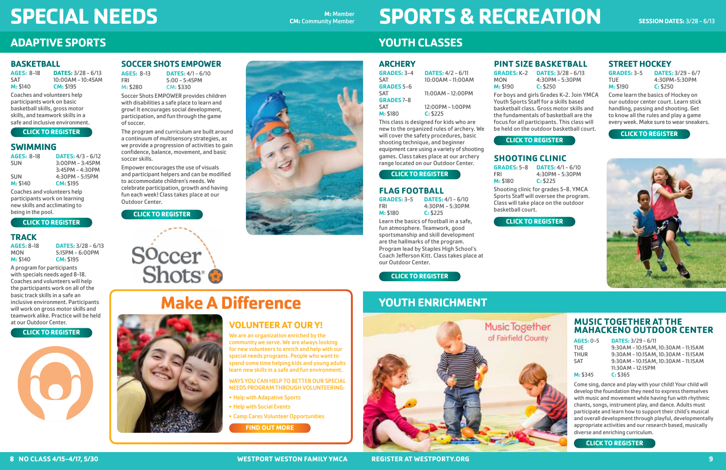# **MUSIC TOGETHER AT THE MAHACKENO OUTDOOR CENTER**

# **AGES:** 0-5 **DATES:** 3/29 - 6/11

TUE 9:30AM - 10:15AM, 10:30AM - 11:15AM 9:30AM - 10:15AM, 10:30AM - 11:15AM SAT 9:30AM - 10:15AM, 10:30AM - 11:15AM 11:30AM - 12:15PM

#### **M:** \$345 **C:** \$365

Come sing, dance and play with your child! Your child will develop the foundation they need to express themselves with music and movement while having fun with rhythmic chants, songs, instrument play, and dance. Adults must participate and learn how to support their child's musical and overall development through playful, developmentally appropriate activities and our research based, musically diverse and enriching curriculum.

 $5:15PM - 6:00PM$ **M: \$195** A program for participants

# **YOUTH ENRICHMENT**



# **BASKETBALL**

| <b>AGES: 8-18</b> | <b>DATES:</b> $3/28 - 6/13$ |
|-------------------|-----------------------------|
| <b>SAT</b>        | $10:00$ AM – $10:45$ AM     |
| M: \$140          | CM: \$195                   |

Coaches and volunteers help participants work on basic basketball skills, gross motor skills, and teamwork skills in a safe and inclusive environment.

# **SWIMMING**

| <b>AGES: 8-18</b> | <b>DATES:</b> $4/3 - 6/12$ |
|-------------------|----------------------------|
| <b>SUN</b>        | $3:00PM - 3:45PM$          |
|                   | $3:45PM - 4:30PM$          |
| <b>SUN</b>        | $4:30PM - 5:15PM$          |
| M: \$140          | CM: \$195                  |

Coaches and volunteers help participants work on learning new skills and acclimating to being in the pool.

# **TRACK**

| AGES: 8–18      | <b>DATES: <math>3/28 - 6/13</math></b> |
|-----------------|----------------------------------------|
| MON             | $5:15PM - 6:00PM$                      |
| <b>M: \$140</b> | CM: \$195                              |

with specials needs aged 8-18. Coaches and volunteers will help the participants work on all of the basic track skills in a safe an inclusive environment. Participants will work on gross motor skills and teamwork alike. Practice will be held at our Outdoor Center.

# **SPECIAL NEEDS Examinately Manufacturers CM: Community Member**

**CM:** Community Member

# **ADAPTIVE SPORTS**

**8 NO CLASS 4/15-4/17, 5/30 WESTPORT WESTON FAMILY YMCA REGISTER AT WESTPORTY.ORG 9**

# **SOCCER SHOTS EMPOWER**

**AGES:** 8-13 **DATES:** 4/1 - 6/10 FRI 5:00 - 5:45PM **M:** \$280 **CM:** \$330

Soccer Shots EMPOWER provides children with disabilities a safe place to learn and grow! It encourages social development, participation, and fun through the game of soccer.

a continuum of multisensory strategies, as we provide a progression of activities to gain confidence, balance, movement, and basic soccer skills.

Empower encourages the use of visuals and participant helpers and can be modified to accommodate children's needs. We celebrate participation, growth and having fun each week! Class takes place at our Outdoor Center.

Soccer Shots

# **ARCHERY**

| <b>GRADES: 3-4</b> | <b>DATES:</b> $4/2 - 6/11$ |
|--------------------|----------------------------|
| <b>SAT</b>         | 10:00AM - 11:00AM          |
| <b>GRADES 5-6</b>  |                            |
| <b>SAT</b>         | $11:00AM - 12:00PM$        |
| <b>GRADES 7-8</b>  |                            |
| <b>SAT</b>         | $12:00PM - 1:00PM$         |
| M: \$180           | C: \$225                   |

This class is designed for kids who are new to the organized rules of archery. We will cover the safety procedures, basic shooting technique, and beginner equipment care using a variety of shooting games. Class takes place at our archery range located on our Outdoor Center.

# **FLAG FOOTBALL**

| <b>GRADES: 3-5</b> | <b>DATES: 4/1</b> |
|--------------------|-------------------|
| FRI                | $4:30PM - 5$      |
| M: \$180           | C: \$225          |

 $-6/10$ i:30PM

Learn the basics of football in a safe, fun atmosphere. Teamwork, good sportsmanship and skill development are the hallmarks of the program. Program lead by Staples High School's Coach Jefferson Kitt. Class takes place at our Outdoor Center.

# **SPORTS & RECREATION**

# **YOUTH CLASSES**

# **PINT SIZE BASKETBALL**

**GRADES:** K-2 **DATES:** 3/28 - 6/13



MON 4:30PM - 5:30PM **M:** \$190 **C:** \$250 For boys and girls Grades K-2. Join YMCA Youth Sports Staff for a skills based basketball class. Gross motor skills and the fundamentals of basketball are the focus for all participants. This class will be held on the outdoor basketball court.

# **SHOOTING CLINIC**

**GRADES:** 5-8 **DATES:** 4/1 - 6/10 4:30PM - 5:30PM **M:** \$180 **C:** \$225 Shooting clinic for grades 5-8. YMCA Sports Staff will oversee the program. Class will take place on the outdoor basketball court.

# **STREET HOCKEY**

**GRADES:** 3-5 **DATES:** 3/29 - 6/7 TUE 4:30PM-5:30PM

**M:** \$190 **C:** \$250

Come learn the basics of Hockey on our outdoor center court. Learn stick handling, passing and shooting. Get to know all the rules and play a game every week. Make sure to wear sneakers.



**Make A Difference**

**VOLUNTEER AT OUR Y!** We are an organization enriched by the community we serve. We are always looking for new volunteers to enrich and help with our special needs programs. People who want to spend some time helping kids and young adults learn new skills in a safe and fun environment. WAYS YOU CAN HELP TO BETTER OUR SPECIAL NEEDS PROGRAM THROUGH VOLUNTEERING:

• Help with Adapative Sports • Help with Social Events

• Camp Cares Volunteer Opportunities

**[CLICK TO REGISTER](https://ops1.operations.daxko.com/Online/3082/ProgramsV2/Search.mvc?keywords=&program_id=TMP91915&expanded=categories%2Clocations)**

## **[CLICK TO REGISTER](https://ops1.operations.daxko.com/Online/3082/ProgramsV2/OfferingDetails.mvc?program_id=TMP104254&offering_id=SES2858922)**

#### **[CLICK TO REGISTER](https://ops1.operations.daxko.com/Online/3082/ProgramsV2/OfferingDetails.mvc?program_id=TMP78100&offering_id=SES2858930)**

**[CLICK TO REGISTER](https://ops1.operations.daxko.com/Online/3082/ProgramsV2/OfferingDetails.mvc?program_id=TMP95871&offering_id=SES2859272)**

#### **[CLICK TO REGISTER](https://ops1.operations.daxko.com/Online/3082/ProgramsV2/Search.mvc?category_ids=TAG30851)**

**[CLICK TO REGISTER](https://ops1.operations.daxko.com/Online/3082/ProgramsV2/Search.mvc?category_ids=TAG30851)**



**[CLICK TO REGISTER](https://ops1.operations.daxko.com/Online/3082/ProgramsV2/Search.mvc?category_ids=TAG30851)**

**[FIND OUT MORE](https://westporty.org/programs-services/special-needs/)**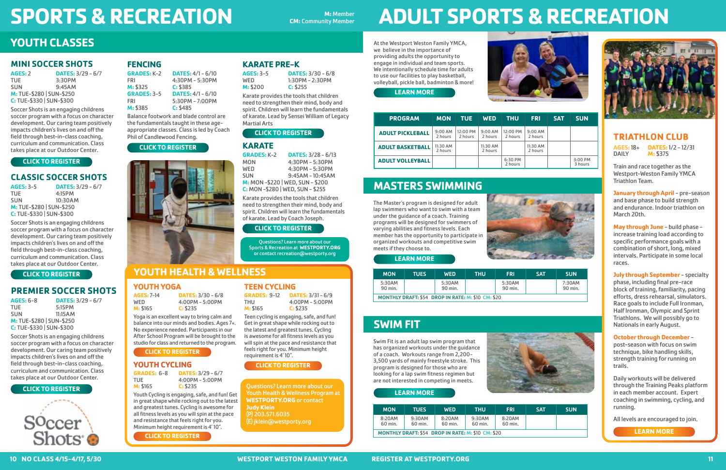# **MINI SOCCER SHOTS**

| <b>AGES: 2</b>           | <b>DATES:</b> $3/29 - 6/7$ |
|--------------------------|----------------------------|
| TUE.                     | 3:30PM                     |
| <b>SUN</b>               | 9:45AM                     |
| M: TUE-\$280   SUN-\$250 |                            |
| C: TUE-\$330   SUN-\$300 |                            |

Soccer Shots is an engaging childrens soccer program with a focus on character development. Our caring team positively impacts children's lives on and off the field through best-in-class coaching, curriculum and communication. Class takes place at our Outdoor Center.

# **CLASSIC SOCCER SHOTS**

| <b>AGES: 3-5</b>         | <b>DATES: <math>3/29 - 6/7</math></b> |
|--------------------------|---------------------------------------|
| TUE.                     | 4:15PM                                |
| <b>SUN</b>               | 10:30AM                               |
| M: TUE-\$280   SUN-\$250 |                                       |
| C: TUE-\$330   SUN-\$300 |                                       |

Soccer Shots is an engaging childrens soccer program with a focus on character development. Our caring team positively impacts children's lives on and off the field through best-in-class coaching, curriculum and communication. Class takes place at our Outdoor Center.

# **PREMIER SOCCER SHOTS**

| AGES: 6-8                | <b>DATES: <math>3/29 - 6/7</math></b> |
|--------------------------|---------------------------------------|
| TUE.                     | 5:15PM                                |
| <b>SUN</b>               | 11:15AM                               |
| M: TUE-\$280   SUN-\$250 |                                       |
| C: TUE-\$330   SUN-\$300 |                                       |

Soccer Shots is an engaging childrens soccer program with a focus on character development. Our caring team positively impacts children's lives on and off the field through best-in-class coaching, curriculum and communication. Class takes place at our Outdoor Center.

# **SPORTS & RECREATION CM: Community Member**

**CM:** Community Member

# **YOUTH CLASSES**

# **FENCING**

| <b>GRADES: K-2</b> | <b>DATES:</b> $4/1 - 6/10$ |
|--------------------|----------------------------|
| FRI                | $4:30PM - 5:30PM$          |
| M: \$325           | C: \$385                   |
| <b>GRADES: 3-5</b> | <b>DATES:</b> $4/1 - 6/10$ |
| FRI                | $5:30PM - 7:00PM$          |
| M: \$385           | C: \$485                   |

Balance footwork and blade control are the fundamentals taught in these ageappropriate classes. Class is led by Coach Phil of Candlewood Fencing.

# **ADULT SPORTS & RECREATION**

# **KARATE PRE-K**

| AGES: 3–5       | <b>DATES:</b> $3/30 - 6/8$ |
|-----------------|----------------------------|
| WED             | 1:30PM - 2:30PM            |
| <b>M: \$200</b> | C: \$255                   |

**AGES:**18+ **DATES:**1/2 - 12/31 **M: \$375** 

Karate provides the tools that children need to strengthen their mind, body and spirit. Children will learn the fundamentals of karate. Lead by Sensei William of Legacy Martial Arts

> **January through April - pre-season** and base phase to build strength and endurance. Indoor triathlon on March 20th.

# **KARATE**

| <b>GRADES: K-2</b>                | <b>DATES: <math>3/28 - 6/13</math></b> |
|-----------------------------------|----------------------------------------|
| <b>MON</b>                        | $4:30PM - 5:30PM$                      |
| <b>WED</b>                        | $4:30PM - 5:30PM$                      |
| <b>SUN</b>                        | $9:45AM - 10:45AM$                     |
| M: MON-\$220   WED, SUN-\$200     |                                        |
| C: MON - \$280   WED, SUN - \$255 |                                        |

**July through September - specialty** phase, including final pre-race block of training, familiarity, pacing efforts, dress rehearsal, simulators. Race goals to include Full Ironman, Half Ironman, Olympic and Sprint Triathlons. We will possibly go to Nationals in early August.

Karate provides the tools that children need to strengthen their mind, body and spirit. Children will learn the fundamentals of karate. Lead by Coach Joseph.

At the Westport Weston Family YMCA, we believe in the importance of providing adults the opportunity to engage in individual and team sports. We intentionally schedule time for adults to use our facilities to play basketball, volleyball, pickle ball, badminton & more!



# **MASTERS SWIMMING**

The Master's program is designed for adult lap swimmers who want to swim with a team under the guidance of a coach. Training programs will be designed for swimmers of varying abilities and fitness levels. Each member has the opportunity to participate in organized workouts and competitive swim meets if they choose to.



# **SWIM FIT**

Swim Fit is an adult lap swim program that has organized workouts under the guidance of a coach. Workouts range from 2,200- 3,500 yards of mainly freestyle stroke. This program is designed for those who are looking for a lap swim fitness regimen but are not interested in competing in meets.



| <b>MON</b>        | <b>TUES</b>                                               | <b>WED</b>        | THU | <b>FRI</b>        | <b>SAT</b> | <b>SUN</b>       |
|-------------------|-----------------------------------------------------------|-------------------|-----|-------------------|------------|------------------|
| 5:30AM<br>90 min. |                                                           | 5:30AM<br>90 min. |     | 5:30AM<br>90 min. |            | 7:30AI<br>90 mir |
|                   | <b>MONTHLY DRAFT: \$54 DROP IN RATE: M: \$10 CM: \$20</b> |                   |     |                   |            |                  |







| <b>MON</b>        | <b>TUES</b>                                               | <b>WED</b>        | <b>THU</b>        | <b>FRI</b>        | <b>SAT</b> | <b>SUN</b> |
|-------------------|-----------------------------------------------------------|-------------------|-------------------|-------------------|------------|------------|
| 8:20AM<br>60 min. | 9:30AM<br>60 min.                                         | 8:20AM<br>60 min. | 9:30AM<br>60 min. | 8:20AM<br>60 min. |            |            |
|                   | <b>MONTHLY DRAFT: \$54 DROP IN RATE: M: \$10 CM: \$20</b> |                   |                   |                   |            |            |

# **TRIATHLON CLUB**

Train and race together as the Westport-Weston Family YMCA Triathlon Team.

**May through June** - build phase increase training load according to specific performance goals with a combination of short, long, mixed intervals. Participate in some local races.

### **October through December** -

post-season with focus on swim technique, bike handling skills, strength training for running on trails.

Daily workouts will be delivered through the Training Peaks platform in each member account. Expert coaching in swimming, cycling, and running.

All levels are encouraged to join.

Questions? Learn more about our Youth Health & Wellness Program at **WESTPORTY.ORG** or contact **Judy Klein** (P) 203.571.6035 (E) jklein@westporty.org

# **YOUTH HEALTH & WELLNESS**

**YOUTH YOGA AGES:** 7-14 **DATES:** 3/30 - 6/8 WED 4:00PM - 5:00PM

**M:** \$165 **C:** \$235

Yoga is an excellent way to bring calm and balance into our minds and bodies. Ages 7+. No experience needed. Participants in our After School Program will be brought to the studio for class and returned to the program.

# **YOUTH CYCLING**

**GRADES:** 6-8 **DATES:** 3/29 - 6/7  $4:00PM - 5:00PM$ **M:** \$165 **C:** \$235

Youth Cycling is engaging, safe, and fun! Get in great shape while rocking out to the latest and greatest tunes. Cycling is awesome for all fitness levels as you will spin at the pace and resistance that feels right for you. Minimum height requirement is 4' 10".

**TEEN CYCLING GRADES:** 9-12 **DATES:** 3/31 - 6/9 THU 4:00PM - 5:00PM **M:** \$165 **C:** \$235

Teen cycling is engaging, safe, and fun! Get in great shape while rocking out to the latest and greatest tunes. Cycling is awesome for all fitness levels as you will spin at the pace and resistance that feels right for you. Minimum height requirement is 4' 10".

Questions? Learn more about our Sports & Recreation at **WESTPORTY.ORG** or contact recreation@westporty.org

### **[CLICK TO REGISTER](https://ops1.operations.daxko.com/Online/3082/ProgramsV2/Search.mvc?program_id=TMP107659)**

**[CLICK TO REGISTER](https://ops1.operations.daxko.com/Online/3082/ProgramsV2/Search.mvc?program_id=TMP107659)**

# **[CLICK TO REGISTER](https://ops1.operations.daxko.com/Online/3082/ProgramsV2/Search.mvc?program_id=TMP107659)**



#### **[CLICK TO REGISTER](https://ops1.operations.daxko.com/Online/3082/ProgramsV2/Search.mvc?program_id=TMP71185)**

#### **[CLICK TO REGISTER](https://ops1.operations.daxko.com/Online/3082/ProgramsV2/Search.mvc?program_id=TMP71185)**

# **[CLICK TO REGISTER](https://ops1.operations.daxko.com/Online/3082/ProgramsV2/OfferingDetails.mvc?program_id=TMP66477&offering_id=SES2858812)**

**[CLICK TO REGISTER](https://ops1.operations.daxko.com/Online/3082/ProgramsV2/OfferingDetails.mvc?offering_id=SES2858928&program_id=TMP107667&)**

### **[CLICK TO REGISTER](https://ops1.operations.daxko.com/Online/3082/ProgramsV2/OfferingDetails.mvc?offering_id=SES2859017&program_id=TMP107667)**

## **[CLICK TO REGISTER](https://ops1.operations.daxko.com/Online/3082/ProgramsV2/Search.mvc?program_id=TMP71158)**



**[LEARN MORE](https://westporty.org/aquatics/adult-lap-swimming/)**

**[LEARN MORE](https://westporty.org/aquatics/adult-lap-swimming/)**

**[LEARN MORE](https://westporty.org/programs-services/health-wellness/triathlonclub-2/)**

**[LEARN MORE](https://westporty.org/programs-services/sports-recreation/)**

| <b>PROGRAM</b>          | <b>MON</b>            | <b>TUE</b>            | <b>WED</b>            | <b>THU</b>           | <b>FRI</b>           | <b>SAT</b> | <b>SUN</b>           |
|-------------------------|-----------------------|-----------------------|-----------------------|----------------------|----------------------|------------|----------------------|
| <b>ADULT PICKLEBALL</b> | $9:00$ AM<br>2 hours  | $12:00$ PM<br>2 hours | $9:00$ AM<br>2 hours  | 12:00 PM<br>2 hours  | $9:00$ AM<br>2 hours |            |                      |
| <b>ADULT BASKETBALL</b> | $11:30$ AM<br>2 hours |                       | $11:30$ AM<br>2 hours |                      | 11:30 AM<br>2 hours  |            |                      |
| <b>ADULT VOLLEYBALL</b> |                       |                       |                       | $6:30$ PM<br>2 hours |                      |            | $3:00$ PM<br>3 hours |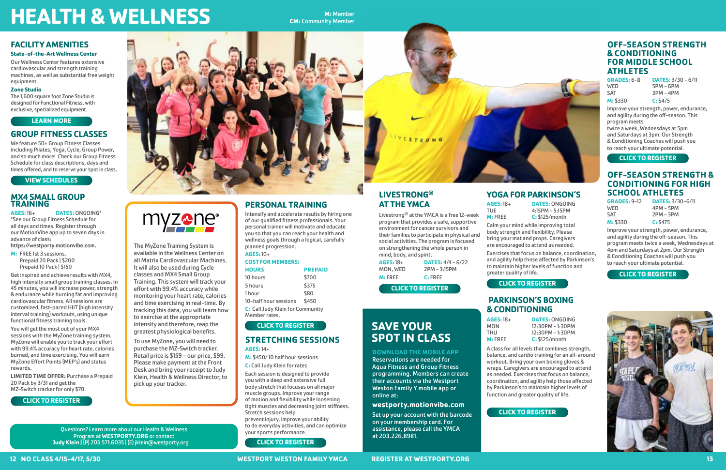# **HEALTH & WELLNESS CM: Community Member**

# **FACILITY AMENITIES**

**State-of-the-Art Wellness Center** Our Wellness Center features extensive

cardiovascular and strength training machines, as well as substantial free weight equipment.

#### **Zone Studio**

The 1,600 square foot Zone Studio is designed for Functional Fitness, with exclusive, specialized equipment.

# **GROUP FITNESS CLASSES**

We feature 50+ Group Fitness Classes including Pilates, Yoga, Cycle, Group Power, and so much more! Check our Group Fitness Schedule for class descriptions, days and times offered, and to reserve your spot in class.

## **MX4 SMALL GROUP TRAINING**

**AGES:** 16+ **DATES:** ONGOING\* \*See our Group Fitness Schedule for all days and times. Register through our MotionVibe app up to seven days in advance of class:

https://westporty.motionvibe.com.

**M:** FREE 1st 3 sessions. Prepaid 20 Pack | \$200 Prepaid 10 Pack | \$150

Get inspired and achieve results with MX4, high intensity small group training classes. In 45 minutes, you will increase power, strength & endurance while burning fat and improving cardiovascular fitness. All sessions are customized, fast-paced HIIT (high intensity interval training) workouts, using unique functional fitness training tools.

You will get the most out of your MX4 sessions with the MyZone training system. MyZone will enable you to track your effort with 99.4% accuracy for heart rate, calories burned, and time exercising. You will earn MyZone Effort Points (MEP's) and status rewards.

> Questions? Learn more about our Health & Wellness<br>vour sports performance. Program at **WESTPORTY.ORG** or contact **Judy Klein |** (P) 203.571.6035 | (E) jklein@westporty.org

**LIMITED TIME OFFER:** Purchase a Prepaid 20 Pack by 3/31 and get the MZ-Switch tracker for only \$70.

**GRADES:** 6-8 **DATES:** 3/30 - 6/11  $5PM - 6PM$ 



### **12 NO CLASS 4/15-4/17, 5/30 WESTPORT WESTON FAMILY YMCA REGISTER AT WESTPORTY.ORG 13**

# **PERSONAL TRAINING**

Intensify and accelerate results by hiring one of our qualified fitness professionals. Your personal trainer will motivate and educate you so that you can reach your health and wellness goals through a logical, carefully planned progression.

#### **AGES:** 10+ **COST FOR MEMBERS:**

| <b>HOURS</b>                     | <b>PREPAID</b> |  |
|----------------------------------|----------------|--|
| 10 hours                         | \$700          |  |
| 5 hours                          | \$375          |  |
| 1 <sub>hour</sub>                | \$80           |  |
| 10-half hour sessions            | \$450          |  |
| C: Call Judy Klein for Community |                |  |
| Member rates.                    |                |  |

### **STRETCHING SESSIONS AGES:** 14+

**M:** \$450/ 10 half hour sessions

**C:** Call Judy Klein for rates

Each session is designed to provide you with a deep and extensive full body stretch that focuses on all major muscle groups. Improve your range of motion and flexibility while loosening tight muscles and decreasing joint stiffness. Stretch sessions help prevent injury, improve your ability to do everyday activities, and can optimize

**AGES:** 18+ **DATES:** ONGOING TUE 4:15PM – 5:15PM<br> **M:** FREE **C:** \$125/month **C:** \$125/month

# **LIVESTRONG® AT THE YMCA**

Livestrong® at the YMCA is a free 12-week program that provides a safe, supportive environment for cancer survivors and their families to participate in physical and social activities. The program is focused on strengthening the whole person in mind, body, and spirit.

# **OFF-SEASON STRENGTH & CONDITIONING FOR MIDDLE SCHOOL ATHLETES**

SAT 3PM - 4PM **M:** \$330 **C:** \$475

Improve your strength, power, endurance, and agility during the off-season. This program meets

twice a week, Wednesdays at 5pm and Saturdays at 3pm. Our Strength & Conditioning Coaches will push you to reach your ultimate potential.

# **OFF-SEASON STRENGTH & CONDITIONING FOR HIGH SCHOOL ATHLETES**

WED 4PM – 5PM<br>SAT 2PM – 3PM

**GRADES:** 9-12 **DATES:** 3/30-6/11  $2PM - 3PM$ **M:** \$330 **C:** \$475

Improve your strength, power, endurance, and agility during the off-season. This program meets twice a week, Wednesdays at 4pm and Saturdays at 2pm. Our Strength & Conditioning Coaches will push you to reach your ultimate potential.

**DOWNLOAD THE MOBILE APP** Reservations are needed for Aqua Fitness and Group Fitness programming. Members can create their accounts via the Westport Weston Family Y mobile app or

online at:

**westporty.motionvibe.com** Set up your account with the barcode

on your membership card. For assistance, please call the YMCA



at 203.226.8981.

**SAVE YOUR** 

**SPOT IN CLASS**

| $AGES: 18+$<br>MON, WED  | <b>DATES:</b> $4/4 - 6/22$<br>2PM – 3:15PM |  |
|--------------------------|--------------------------------------------|--|
| $M:$ FREE                | $C:$ FREE                                  |  |
| <b>CLICK TO REGISTER</b> |                                            |  |

The MyZone Training System is available in the Wellness Center on all Matrix Cardiovascular Machines. It will also be used during Cycle classes and MX4 Small Group Training. This system will track your effort with 99.4% accuracy while monitoring your heart rate, calories and time exercising in real-time. By tracking this data, you will learn how to exercise at the appropriate intensity and therefore, reap the greatest physiological benefits. To use MyZone, you will need to purchase the MZ-Switch tracker. Retail price is \$159 – our price, \$99. Please make payment at the Front Desk and bring your receipt to Judy Klein, Health & Wellness Director, to

myzone®

pick up your tracker.

# **YOGA FOR PARKINSON'S**

Calm your mind while improving total body strength and flexibility. Please bring your mat and props. Caregivers are encouraged to attend as needed.

Exercises that focus on balance, coordination, and agility help those affected by Parkinson's to maintain higher levels of function and greater quality of life.

# **PARKINSON'S BOXING & CONDITIONING**

| <b>IES: 18+</b> | Ī |
|-----------------|---|
| ΟN              | 1 |
| U               | 1 |
| <b>FREE</b>     | ſ |
|                 |   |

A class for all levels that combines strength, balance, and cardio training for an all-around workout. Bring your own boxing gloves & wraps. Caregivers are encouraged to attend as needed. Exercises that focus on balance, coordination, and agility help those affected by Parkinson's to maintain higher levels of function and greater quality of life.

### **[LEARN MORE](https://westporty.org/programs-services/health-wellness/wellness-center/)**

**[VIEW SCHEDULES](https://westporty.org/schedules/)**

#### **[CLICK TO REGISTER](https://westporty.motionvibe.com/(S(5k5fsqrocqbj4sokn3drhwa5))/LoginWestportWestin.aspx)**



**[CLICK TO REGISTER](https://operations.daxko.com/Online/3082/ProgramsV2/OfferingDetails.mvc?program_id=PP90555&offering_id=PKG2823456&location_id=B417)**

## **[CLICK TO REGISTER](https://operations.daxko.com/Online/3082/ProgramsV2/OfferingDetails.mvc?program_id=PP90555&offering_id=PKG2828477&location_id=B417)**

**[CLICK TO REGISTER](https://ops1.operations.daxko.com/Online/3082/ProgramsV2/OfferingDetails.mvc?program_id=TMP105650&offering_id=SES2827857&)**

**AGES:** 18+ **DATES:** ONGOING<br>
MON 12:30PM - 1:30PM MON 12:30PM - 1:30PM<br>THU 12:30PM - 1:30PM THU 12:30PM - 1:30PM<br> **M:** FREE **C:** \$125/month **C:** \$125/month

#### **[CLICK TO REGISTER](https://ops1.operations.daxko.com/Online/3082/ProgramsV2/OfferingDetails.mvc?program_id=TMP105650&offering_id=SES2827842)**

# **[CLICK TO REGISTER](https://ops1.operations.daxko.com/Online/3082/ProgramsV2/OfferingDetails.mvc?program_id=TMP107661&offering_id=SES2858838)**